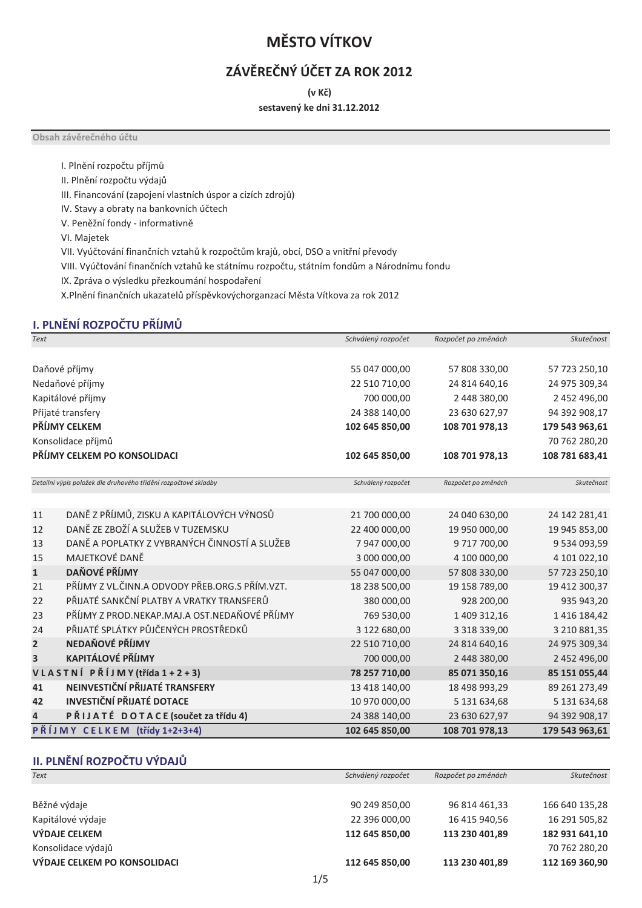## **MĚSTO VÍTKOV**

### ZÁVĚREČNÝ ÚČET ZA ROK 2012

(v Kč)

sestavený ke dni 31.12.2012

Obsah závěrečného účtu

I. Plnění rozpočtu příjmů

II. Plnění rozpočtu výdajů

III. Financování (zapojení vlastních úspor a cizích zdrojů)

IV. Stavy a obraty na bankovních účtech

V. Peněžní fondy - informativně

VI. Majetek

VII. Vyúčtování finančních vztahů k rozpočtům krajů, obcí, DSO a vnitřní převody

VIII. Vyúčtování finančních vztahů ke státnímu rozpočtu, státním fondům a Národnímu fondu

IX. Zpráva o výsledku přezkoumání hospodaření

X.Plnění finančních ukazatelů příspěvkovýchorganzací Města Vítkova za rok 2012

#### I. PLNĚNÍ ROZPOČTU PŘÍJMŮ

| <b>Text</b>  |                                                                 | Schválený rozpočet | Rozpočet po změnách | Skutečnost     |
|--------------|-----------------------------------------------------------------|--------------------|---------------------|----------------|
|              |                                                                 |                    |                     |                |
|              | Daňové příjmy                                                   | 55 047 000,00      | 57 808 330,00       | 57 723 250,10  |
|              | Nedaňové příjmy                                                 | 22 510 710,00      | 24 814 640,16       | 24 975 309,34  |
|              | Kapitálové příjmy                                               | 700 000,00         | 2 448 380,00        | 2 452 496,00   |
|              | Přijaté transfery                                               | 24 388 140,00      | 23 630 627,97       | 94 392 908,17  |
|              | PŘÍJMY CELKEM                                                   | 102 645 850,00     | 108 701 978,13      | 179 543 963,61 |
|              | Konsolidace příjmů                                              |                    |                     | 70 762 280,20  |
|              | PŘÍJMY CELKEM PO KONSOLIDACI                                    | 102 645 850,00     | 108 701 978,13      | 108 781 683,41 |
|              | Detailní výpis položek dle druhového třídění rozpočtové skladby | Schválený rozpočet | Rozpočet po změnách | Skutečnost     |
| 11           | DANĚ Z PŘÍJMŮ, ZISKU A KAPITÁLOVÝCH VÝNOSŮ                      | 21 700 000,00      | 24 040 630,00       | 24 142 281,41  |
| 12           | DANĚ ZE ZBOŽÍ A SLUŽEB V TUZEMSKU                               | 22 400 000,00      | 19 950 000,00       | 19 945 853,00  |
| 13           | DANĚ A POPLATKY Z VYBRANÝCH ČINNOSTÍ A SLUŽEB                   | 7 947 000,00       | 9 717 700,00        | 9 534 093,59   |
| 15           | MAJETKOVÉ DANĚ                                                  | 3 000 000,00       | 4 100 000,00        | 4 101 022,10   |
| $\mathbf{1}$ | <b>DAŇOVÉ PŘÍJMY</b>                                            | 55 047 000,00      | 57 808 330,00       | 57 723 250,10  |
| 21           | PŘÍJMY Z VL.ČINN.A ODVODY PŘEB.ORG.S PŘÍM.VZT.                  | 18 238 500,00      | 19 158 789,00       | 19 412 300,37  |
| 22           | PŘIJATÉ SANKČNÍ PLATBY A VRATKY TRANSFERŮ                       | 380 000,00         | 928 200,00          | 935 943,20     |
| 23           | PŘÍJMY Z PROD.NEKAP.MAJ.A OST.NEDAŇOVÉ PŘÍJMY                   | 769 530,00         | 1 409 312,16        | 1 416 184,42   |
| 24           | PŘIJATÉ SPLÁTKY PŮJČENÝCH PROSTŘEDKŮ                            | 3 122 680,00       | 3 3 18 3 3 9 , 0 0  | 3 210 881,35   |
| 2            | NEDAŇOVÉ PŘÍJMY                                                 | 22 510 710,00      | 24 814 640,16       | 24 975 309,34  |
| 3            | <b>KAPITÁLOVÉ PŘÍJMY</b>                                        | 700 000,00         | 2 448 380,00        | 2 452 496,00   |
|              | VLASTNÍ PŘÍJMY (třída 1 + 2 + 3)                                | 78 257 710,00      | 85 071 350,16       | 85 151 055,44  |
| 41           | NEINVESTIČNÍ PŘIJATÉ TRANSFERY                                  | 13 418 140,00      | 18 498 993,29       | 89 261 273,49  |
| 42           | <b>INVESTIČNÍ PŘIJATÉ DOTACE</b>                                | 10 970 000,00      | 5 131 634,68        | 5 131 634,68   |
| 4            | PŘIJATÉ DOTACE (součet za třídu 4)                              | 24 388 140,00      | 23 630 627,97       | 94 392 908,17  |
|              | PŘÍJMY CELKEM (třídy 1+2+3+4)                                   | 102 645 850,00     | 108 701 978,13      | 179 543 963,61 |

#### II. PLNĚNÍ ROZPOČTU VÝDAJŮ

| Text                         | Schválený rozpočet | Rozpočet po změnách | Skutečnost     |
|------------------------------|--------------------|---------------------|----------------|
|                              |                    |                     |                |
| Běžné výdaje                 | 90 249 850,00      | 96 814 461,33       | 166 640 135,28 |
| Kapitálové výdaje            | 22 396 000,00      | 16 415 940,56       | 16 291 505,82  |
| <b>VÝDAJE CELKEM</b>         | 112 645 850,00     | 113 230 401,89      | 182 931 641,10 |
| Konsolidace výdajů           |                    |                     | 70 762 280,20  |
| VÝDAJE CELKEM PO KONSOLIDACI | 112 645 850,00     | 113 230 401,89      | 112 169 360,90 |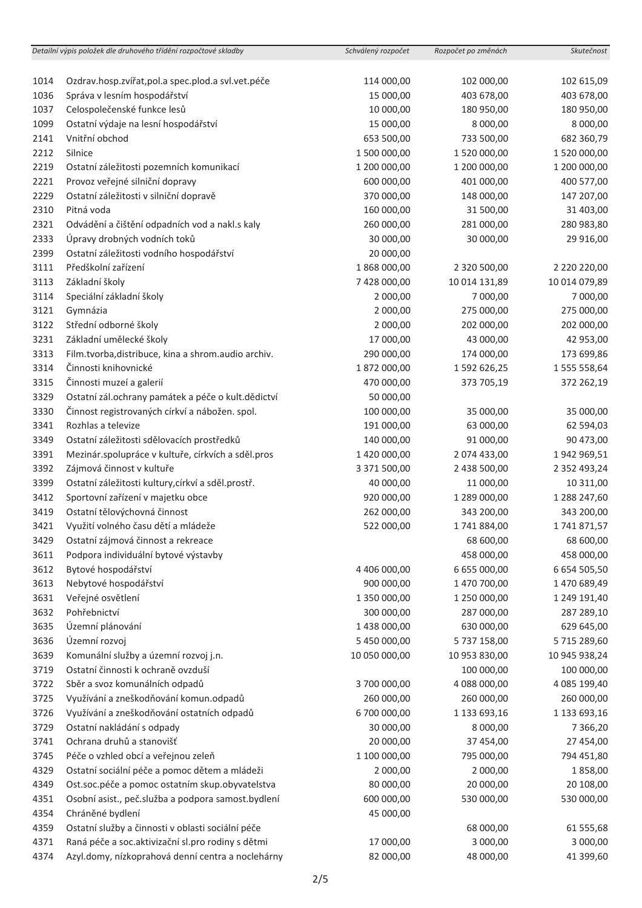|      | Detailní výpis položek dle druhového třídění rozpočtové skladby | Schválený rozpočet | Rozpočet po změnách | Skutečnost          |
|------|-----------------------------------------------------------------|--------------------|---------------------|---------------------|
|      |                                                                 |                    |                     |                     |
| 1014 | Ozdrav.hosp.zvířat, pol.a spec.plod.a svl.vet.péče              | 114 000,00         | 102 000,00          | 102 615,09          |
| 1036 | Správa v lesním hospodářství                                    | 15 000,00          | 403 678,00          | 403 678,00          |
| 1037 | Celospolečenské funkce lesů                                     | 10 000,00          | 180 950,00          | 180 950,00          |
| 1099 | Ostatní výdaje na lesní hospodářství                            | 15 000,00          | 8 000,00            | 8 000,00            |
| 2141 | Vnitřní obchod                                                  | 653 500,00         | 733 500,00          | 682 360,79          |
| 2212 | Silnice                                                         | 1 500 000,00       | 1520000,00          | 1 520 000,00        |
| 2219 | Ostatní záležitosti pozemních komunikací                        | 1 200 000,00       | 1 200 000,00        | 1 200 000,00        |
| 2221 | Provoz veřejné silniční dopravy                                 | 600 000,00         | 401 000,00          | 400 577,00          |
| 2229 | Ostatní záležitosti v silniční dopravě                          | 370 000,00         | 148 000,00          | 147 207,00          |
| 2310 | Pitná voda                                                      | 160 000,00         | 31 500,00           | 31 403,00           |
| 2321 | Odvádění a čištění odpadních vod a nakl.s kaly                  | 260 000,00         | 281 000,00          | 280 983,80          |
| 2333 | Úpravy drobných vodních toků                                    | 30 000,00          | 30 000,00           | 29 916,00           |
| 2399 | Ostatní záležitosti vodního hospodářství                        | 20 000,00          |                     |                     |
| 3111 | Předškolní zařízení                                             | 1868000,00         | 2 320 500,00        | 2 220 220,00        |
| 3113 | Základní školy                                                  | 7 428 000,00       | 10 014 131,89       | 10 014 079,89       |
| 3114 | Speciální základní školy                                        | 2 000,00           | 7 000,00            | 7 000,00            |
| 3121 | Gymnázia                                                        | 2 000,00           | 275 000,00          | 275 000,00          |
| 3122 | Střední odborné školy                                           | 2 000,00           | 202 000,00          | 202 000,00          |
| 3231 | Základní umělecké školy                                         | 17 000,00          | 43 000,00           | 42 953,00           |
| 3313 | Film.tvorba, distribuce, kina a shrom.audio archiv.             | 290 000,00         | 174 000,00          | 173 699,86          |
| 3314 | Činnosti knihovnické                                            | 1872000,00         | 1592626,25          | 1 555 558,64        |
| 3315 | Činnosti muzeí a galerií                                        | 470 000,00         | 373 705,19          | 372 262,19          |
| 3329 | Ostatní zál.ochrany památek a péče o kult.dědictví              | 50 000,00          |                     |                     |
| 3330 | Činnost registrovaných církví a nábožen. spol.                  | 100 000,00         | 35 000,00           | 35 000,00           |
| 3341 | Rozhlas a televize                                              | 191 000,00         | 63 000,00           | 62 594,03           |
| 3349 | Ostatní záležitosti sdělovacích prostředků                      | 140 000,00         | 91 000,00           | 90 473,00           |
| 3391 | Mezinár.spolupráce v kultuře, církvích a sděl.pros              | 1 420 000,00       | 2 074 433,00        | 1 942 969,51        |
| 3392 | Zájmová činnost v kultuře                                       | 3 371 500,00       | 2 438 500,00        | 2 3 5 2 4 9 3 , 2 4 |
| 3399 | Ostatní záležitosti kultury, církví a sděl.prostř.              | 40 000,00          | 11 000,00           | 10 311,00           |
| 3412 | Sportovní zařízení v majetku obce                               | 920 000,00         | 1 289 000,00        | 1 288 247,60        |
| 3419 | Ostatní tělovýchovná činnost                                    | 262 000,00         | 343 200,00          | 343 200,00          |
| 3421 | Využití volného času dětí a mládeže                             | 522 000,00         | 1741884,00          | 1741871,57          |
| 3429 | Ostatní zájmová činnost a rekreace                              |                    | 68 600,00           | 68 600,00           |
| 3611 | Podpora individuální bytové výstavby                            |                    | 458 000,00          | 458 000,00          |
| 3612 | Bytové hospodářství                                             | 4 406 000,00       | 6 655 000,00        | 6 654 505,50        |
| 3613 | Nebytové hospodářství                                           | 900 000,00         | 1 470 700,00        | 1470 689,49         |
| 3631 | Veřejné osvětlení                                               | 1 350 000,00       | 1 250 000,00        | 1 249 191,40        |
| 3632 | Pohřebnictví                                                    | 300 000,00         | 287 000,00          | 287 289,10          |
| 3635 | Územní plánování                                                | 1 438 000,00       | 630 000,00          | 629 645,00          |
| 3636 | Územní rozvoj                                                   | 5 450 000,00       | 5 737 158,00        | 5 715 289,60        |
| 3639 | Komunální služby a územní rozvoj j.n.                           | 10 050 000,00      | 10 953 830,00       | 10 945 938,24       |
| 3719 | Ostatní činnosti k ochraně ovzduší                              |                    | 100 000,00          | 100 000,00          |
| 3722 | Sběr a svoz komunálních odpadů                                  | 3700 000,00        | 4 088 000,00        | 4 085 199,40        |
| 3725 | Využívání a zneškodňování komun.odpadů                          | 260 000,00         | 260 000,00          | 260 000,00          |
| 3726 | Využívání a zneškodňování ostatních odpadů                      | 6 700 000,00       | 1 133 693,16        | 1 133 693,16        |
| 3729 | Ostatní nakládání s odpady                                      | 30 000,00          | 8 000,00            | 7 3 6 6 , 20        |
| 3741 | Ochrana druhů a stanovišť                                       | 20 000,00          | 37 454,00           | 27 454,00           |
| 3745 | Péče o vzhled obcí a veřejnou zeleň                             | 1 100 000,00       | 795 000,00          | 794 451,80          |
| 4329 | Ostatní sociální péče a pomoc dětem a mládeži                   | 2 000,00           | 2 000,00            | 1858,00             |
| 4349 | Ost.soc.péče a pomoc ostatním skup.obyvatelstva                 | 80 000,00          | 20 000,00           | 20 108,00           |
| 4351 | Osobní asist., peč.služba a podpora samost.bydlení              | 600 000,00         | 530 000,00          | 530 000,00          |
| 4354 | Chráněné bydlení                                                | 45 000,00          |                     |                     |
| 4359 | Ostatní služby a činnosti v oblasti sociální péče               |                    | 68 000,00           | 61 555,68           |
| 4371 | Raná péče a soc.aktivizační sl.pro rodiny s dětmi               | 17 000,00          | 3 000,00            | 3 000,00            |
| 4374 | Azyl.domy, nízkoprahová denní centra a noclehárny               | 82 000,00          | 48 000,00           | 41 399,60           |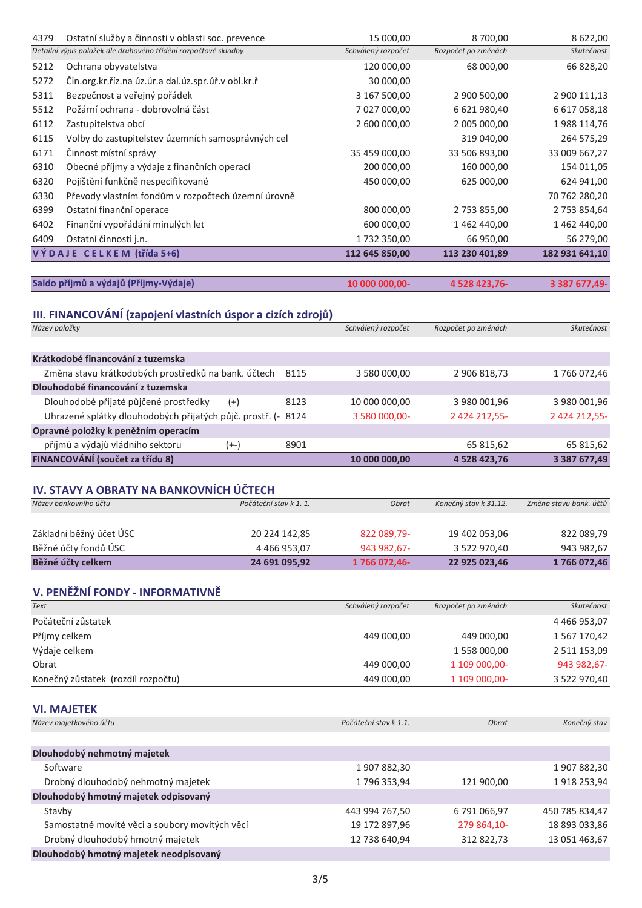| 4379          | Ostatní služby a činnosti v oblasti soc. prevence<br>Detailní výpis položek dle druhového třídění rozpočtové skladby |                        | 15 000,00<br>Schválený rozpočet | 8700,00<br>Rozpočet po změnách | 8 622,00<br>Skutečnost |
|---------------|----------------------------------------------------------------------------------------------------------------------|------------------------|---------------------------------|--------------------------------|------------------------|
| 5212          |                                                                                                                      |                        |                                 |                                |                        |
| 5272          | Ochrana obyvatelstva<br>Čin.org.kr.říz.na úz.úr.a dal.úz.spr.úř.v obl.kr.ř                                           |                        | 120 000,00<br>30 000,00         | 68 000,00                      | 66 828,20              |
| 5311          | Bezpečnost a veřejný pořádek                                                                                         |                        | 3 167 500,00                    | 2 900 500,00                   | 2 900 111,13           |
| 5512          | Požární ochrana - dobrovolná část                                                                                    |                        | 7 027 000,00                    | 6 621 980,40                   | 6 617 058,18           |
| 6112          | Zastupitelstva obcí                                                                                                  |                        | 2 600 000,00                    | 2 005 000,00                   | 1988 114,76            |
| 6115          | Volby do zastupitelstev územních samosprávných cel                                                                   |                        |                                 | 319 040,00                     | 264 575,29             |
| 6171          | Činnost místní správy                                                                                                |                        | 35 459 000,00                   | 33 506 893,00                  | 33 009 667,27          |
| 6310          | Obecné příjmy a výdaje z finančních operací                                                                          |                        | 200 000,00                      | 160 000,00                     | 154 011,05             |
| 6320          | Pojištění funkčně nespecifikované                                                                                    |                        | 450 000,00                      | 625 000,00                     | 624 941,00             |
| 6330          | Převody vlastním fondům v rozpočtech územní úrovně                                                                   |                        |                                 |                                | 70 762 280,20          |
| 6399          | Ostatní finanční operace                                                                                             |                        | 800 000,00                      | 2 753 855,00                   | 2 753 854,64           |
| 6402          | Finanční vypořádání minulých let                                                                                     |                        | 600 000,00                      | 1 462 440,00                   | 1 462 440,00           |
| 6409          | Ostatní činnosti j.n.                                                                                                |                        | 1732 350,00                     | 66 950,00                      | 56 279,00              |
|               | VÝDAJE CELKEM (třída 5+6)                                                                                            |                        | 112 645 850,00                  | 113 230 401,89                 | 182 931 641,10         |
|               |                                                                                                                      |                        |                                 |                                |                        |
|               | Saldo příjmů a výdajů (Příjmy-Výdaje)                                                                                |                        | 10 000 000,00-                  | 4 528 423,76-                  | 3 387 677,49-          |
|               | III. FINANCOVÁNÍ (zapojení vlastních úspor a cizích zdrojů)                                                          |                        |                                 |                                |                        |
| Název položky |                                                                                                                      |                        | Schválený rozpočet              | Rozpočet po změnách            | Skutečnost             |
|               |                                                                                                                      |                        |                                 |                                |                        |
|               | Krátkodobé financování z tuzemska                                                                                    |                        |                                 |                                |                        |
|               | Změna stavu krátkodobých prostředků na bank. účtech                                                                  | 8115                   | 3 580 000,00                    | 2 906 818,73                   | 1766072,46             |
|               | Dlouhodobé financování z tuzemska                                                                                    |                        |                                 |                                |                        |
|               | Dlouhodobé přijaté půjčené prostředky                                                                                | 8123<br>$(+)$          | 10 000 000,00                   | 3 980 001,96                   | 3 980 001,96           |
|               | Uhrazené splátky dlouhodobých přijatých půjč. prostř. (- 8124                                                        |                        | 3 580 000,00-                   | 2 424 212,55-                  | 2 424 212,55-          |
|               | Opravné položky k peněžním operacím                                                                                  |                        |                                 |                                |                        |
|               | příjmů a výdajů vládního sektoru                                                                                     | $(+-)$<br>8901         |                                 | 65 815,62                      | 65 815,62              |
|               | FINANCOVÁNÍ (součet za třídu 8)                                                                                      |                        | 10 000 000,00                   | 4 528 423,76                   | 3 387 677,49           |
|               |                                                                                                                      |                        |                                 |                                |                        |
|               | IV. STAVY A OBRATY NA BANKOVNÍCH ÚČTECH                                                                              |                        |                                 |                                |                        |
|               | Název bankovního účtu                                                                                                | Počáteční stav k 1. 1. | Obrat                           | Konečný stav k 31.12.          | Změna stavu bank. účtů |
|               |                                                                                                                      |                        |                                 |                                |                        |
|               | Základní běžný účet ÚSC                                                                                              | 20 224 142,85          | 822 089,79-                     | 19 402 053,06                  | 822 089,79             |
|               | Běžné účty fondů ÚSC                                                                                                 | 4 4 6 9 9 5 3 , 0 7    | 943 982,67-                     | 3 522 970,40                   | 943 982,67             |
|               | Běžné účty celkem                                                                                                    | 24 691 095,92          | 1766 072,46-                    | 22 925 023,46                  | 1766 072,46            |
|               |                                                                                                                      |                        |                                 |                                |                        |
| <b>Text</b>   | V. PENĚŽNÍ FONDY - INFORMATIVNĚ                                                                                      |                        | Schválený rozpočet              | Rozpočet po změnách            | Skutečnost             |
|               | Počáteční zůstatek                                                                                                   |                        |                                 |                                | 4 4 6 9 9 5 3 , 0 7    |
|               | Příjmy celkem                                                                                                        |                        | 449 000,00                      | 449 000,00                     | 1567170,42             |
|               | Výdaje celkem                                                                                                        |                        |                                 | 1 558 000,00                   | 2 511 153,09           |
| Obrat         |                                                                                                                      |                        | 449 000,00                      | 1 109 000,00-                  | 943 982,67-            |
|               | Konečný zůstatek (rozdíl rozpočtu)                                                                                   |                        | 449 000,00                      | 1 109 000,00-                  | 3 522 970,40           |
|               |                                                                                                                      |                        |                                 |                                |                        |
|               | <b>VI. MAJETEK</b>                                                                                                   |                        |                                 |                                |                        |
|               | Název majetkového účtu                                                                                               |                        | Počáteční stav k 1.1.           | <b>Obrat</b>                   | Konečný stav           |
|               |                                                                                                                      |                        |                                 |                                |                        |
|               | Dlouhodobý nehmotný majetek                                                                                          |                        |                                 |                                |                        |
|               | Software                                                                                                             |                        | 1907882,30                      |                                | 1907882,30             |
|               | Drobný dlouhodobý nehmotný majetek                                                                                   |                        | 1796 353,94                     | 121 900,00                     | 1918 253,94            |
|               | Dlouhodobý hmotný majetek odpisovaný                                                                                 |                        |                                 |                                |                        |
| Stavby        |                                                                                                                      |                        | 443 994 767,50                  | 6791066,97                     | 450 785 834,47         |
|               | Samostatné movité věci a soubory movitých věcí                                                                       |                        | 19 172 897,96                   | 279 864,10-                    | 18 893 033,86          |
|               | Drobný dlouhodobý hmotný majetek                                                                                     |                        | 12 738 640,94                   | 312 822,73                     | 13 051 463,67          |

Dlouhodobý hmotný majetek neodpisovaný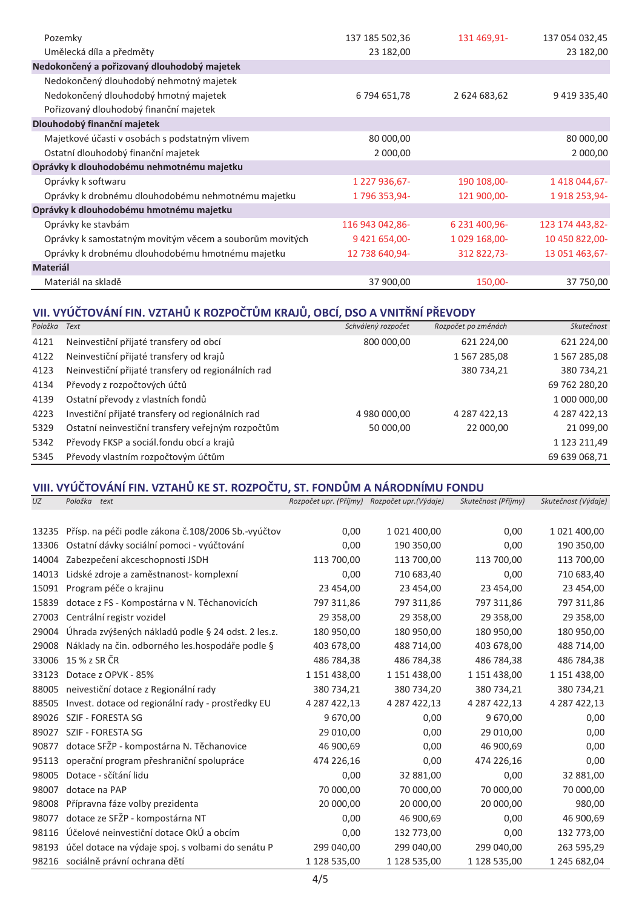| Pozemky                                                 | 137 185 502,36  | 131 469,91-   | 137 054 032,45  |
|---------------------------------------------------------|-----------------|---------------|-----------------|
| Umělecká díla a předměty                                | 23 182,00       |               | 23 182,00       |
| Nedokončený a pořizovaný dlouhodobý majetek             |                 |               |                 |
| Nedokončený dlouhodobý nehmotný majetek                 |                 |               |                 |
| Nedokončený dlouhodobý hmotný majetek                   | 6 794 651,78    | 2 624 683,62  | 9 419 335,40    |
| Pořizovaný dlouhodobý finanční majetek                  |                 |               |                 |
| Dlouhodobý finanční majetek                             |                 |               |                 |
| Majetkové účasti v osobách s podstatným vlivem          | 80 000,00       |               | 80 000,00       |
| Ostatní dlouhodobý finanční majetek                     | 2 000,00        |               | 2 000,00        |
| Oprávky k dlouhodobému nehmotnému majetku               |                 |               |                 |
| Oprávky k softwaru                                      | 1 227 936,67-   | 190 108,00-   | 1 418 044,67-   |
| Oprávky k drobnému dlouhodobému nehmotnému majetku      | 1796 353,94-    | 121 900,00-   | 1918 253,94-    |
| Oprávky k dlouhodobému hmotnému majetku                 |                 |               |                 |
| Oprávky ke stavbám                                      | 116 943 042,86- | 6 231 400,96- | 123 174 443,82- |
| Oprávky k samostatným movitým věcem a souborům movitých | 9 421 654,00-   | 1 029 168,00- | 10 450 822,00-  |
| Oprávky k drobnému dlouhodobému hmotnému majetku        | 12 738 640,94-  | 312 822,73-   | 13 051 463,67-  |
| <b>Materiál</b>                                         |                 |               |                 |
| Materiál na skladě                                      | 37 900,00       | 150,00-       | 37 750,00       |

### VII. VYÚČTOVÁNÍ FIN. VZTAHŮ K ROZPOČTŮM KRAJŮ, OBCÍ, DSO A VNITŘNÍ PŘEVODY

| Položka | Text                                               | Schválený rozpočet | Rozpočet po změnách | Skutečnost          |
|---------|----------------------------------------------------|--------------------|---------------------|---------------------|
| 4121    | Neinvestiční přijaté transfery od obcí             | 800 000,00         | 621 224,00          | 621 224,00          |
| 4122    | Neinvestiční přijaté transfery od krajů            |                    | 1567285,08          | 1 5 6 7 2 8 5 , 0 8 |
| 4123    | Neinvestiční přijaté transfery od regionálních rad |                    | 380 734,21          | 380 734,21          |
| 4134    | Převody z rozpočtových účtů                        |                    |                     | 69 762 280,20       |
| 4139    | Ostatní převody z vlastních fondů                  |                    |                     | 1 000 000,00        |
| 4223    | Investiční přijaté transfery od regionálních rad   | 4 980 000,00       | 4 287 422,13        | 4 287 422,13        |
| 5329    | Ostatní neinvestiční transfery veřejným rozpočtům  | 50 000,00          | 22 000,00           | 21 099,00           |
| 5342    | Převody FKSP a sociál fondu obcí a krajů           |                    |                     | 1 123 211,49        |
| 5345    | Převody vlastním rozpočtovým účtům                 |                    |                     | 69 639 068,71       |

## VIII. VYÚČTOVÁNÍ FIN. VZTAHŮ KE ST. ROZPOČTU, ST. FONDŮM A NÁRODNÍMU FONDU

| UZ    | Položka<br>text                                    | Rozpočet upr. (Příjmy) Rozpočet upr. (Výdaje) |              | Skutečnost (Příjmy) | Skutečnost (Výdaje) |
|-------|----------------------------------------------------|-----------------------------------------------|--------------|---------------------|---------------------|
|       |                                                    |                                               |              |                     |                     |
| 13235 | Přísp. na péči podle zákona č.108/2006 Sb.-vyúčtov | 0,00                                          | 1 021 400,00 | 0,00                | 1 021 400,00        |
| 13306 | Ostatní dávky sociální pomoci - vyúčtování         | 0,00                                          | 190 350,00   | 0,00                | 190 350,00          |
| 14004 | Zabezpečení akceschopnosti JSDH                    | 113 700,00                                    | 113 700,00   | 113 700,00          | 113 700,00          |
| 14013 | Lidské zdroje a zaměstnanost- komplexní            | 0,00                                          | 710 683,40   | 0,00                | 710 683,40          |
| 15091 | Program péče o krajinu                             | 23 454,00                                     | 23 454,00    | 23 454,00           | 23 454,00           |
| 15839 | dotace z FS - Kompostárna v N. Těchanovicích       | 797 311,86                                    | 797 311,86   | 797 311,86          | 797 311,86          |
| 27003 | Centrální registr vozidel                          | 29 358,00                                     | 29 358,00    | 29 358,00           | 29 358,00           |
| 29004 | Úhrada zvýšených nákladů podle § 24 odst. 2 les.z. | 180 950,00                                    | 180 950,00   | 180 950,00          | 180 950,00          |
| 29008 | Náklady na čin. odborného les. hospodáře podle §   | 403 678,00                                    | 488 714,00   | 403 678,00          | 488 714,00          |
| 33006 | 15 % z SR ČR                                       | 486 784,38                                    | 486 784,38   | 486 784,38          | 486 784,38          |
| 33123 | Dotace z OPVK - 85%                                | 1 151 438,00                                  | 1 151 438,00 | 1 151 438,00        | 1 151 438,00        |
| 88005 | neivestiční dotace z Regionální rady               | 380 734,21                                    | 380 734,20   | 380 734,21          | 380 734,21          |
| 88505 | Invest. dotace od regionální rady - prostředky EU  | 4 287 422,13                                  | 4 287 422,13 | 4 287 422,13        | 4 287 422,13        |
| 89026 | SZIF - FORESTA SG                                  | 9 670,00                                      | 0,00         | 9 670,00            | 0,00                |
| 89027 | SZIF - FORESTA SG                                  | 29 010,00                                     | 0,00         | 29 010,00           | 0,00                |
| 90877 | dotace SFŽP - kompostárna N. Těchanovice           | 46 900,69                                     | 0,00         | 46 900,69           | 0,00                |
| 95113 | operační program přeshraniční spolupráce           | 474 226,16                                    | 0,00         | 474 226,16          | 0,00                |
| 98005 | Dotace - sčítání lidu                              | 0,00                                          | 32 881,00    | 0,00                | 32 881,00           |
| 98007 | dotace na PAP                                      | 70 000,00                                     | 70 000,00    | 70 000,00           | 70 000,00           |
| 98008 | Přípravna fáze volby prezidenta                    | 20 000,00                                     | 20 000,00    | 20 000,00           | 980,00              |
| 98077 | dotace ze SFŽP - kompostárna NT                    | 0,00                                          | 46 900,69    | 0,00                | 46 900,69           |
| 98116 | Účelové neinvestiční dotace OkÚ a obcím            | 0,00                                          | 132 773,00   | 0,00                | 132 773,00          |
| 98193 | účel dotace na výdaje spoj. s volbami do senátu P  | 299 040,00                                    | 299 040,00   | 299 040,00          | 263 595,29          |
|       | 98216 sociálně právní ochrana dětí                 | 1 128 535,00                                  | 1 128 535,00 | 1 128 535,00        | 1 245 682,04        |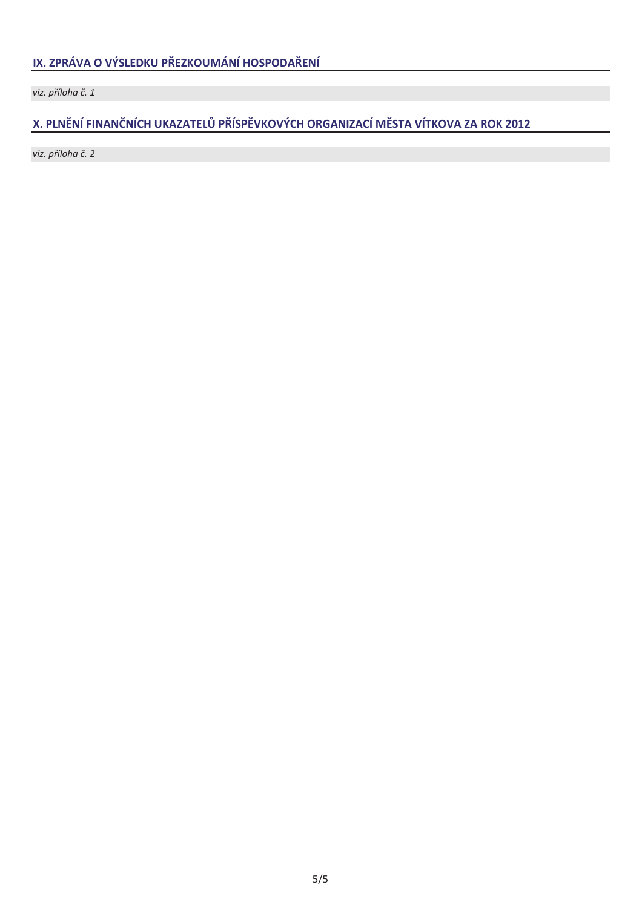viz. příloha č. 1

### X. PLNĚNÍ FINANČNÍCH UKAZATELŮ PŘÍSPĚVKOVÝCH ORGANIZACÍ MĚSTA VÍTKOVA ZA ROK 2012

viz. příloha č. 2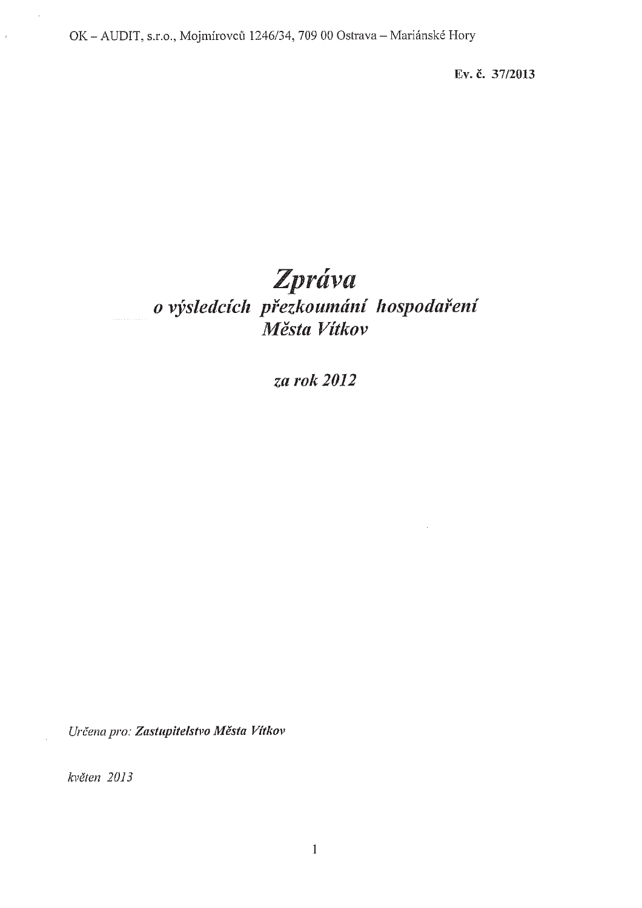Ev. č. 37/2013

# Zpráva o výsledcích přezkoumání hospodaření Města Vítkov

za rok 2012

Určena pro: Zastupitelstvo Města Vítkov

květen 2013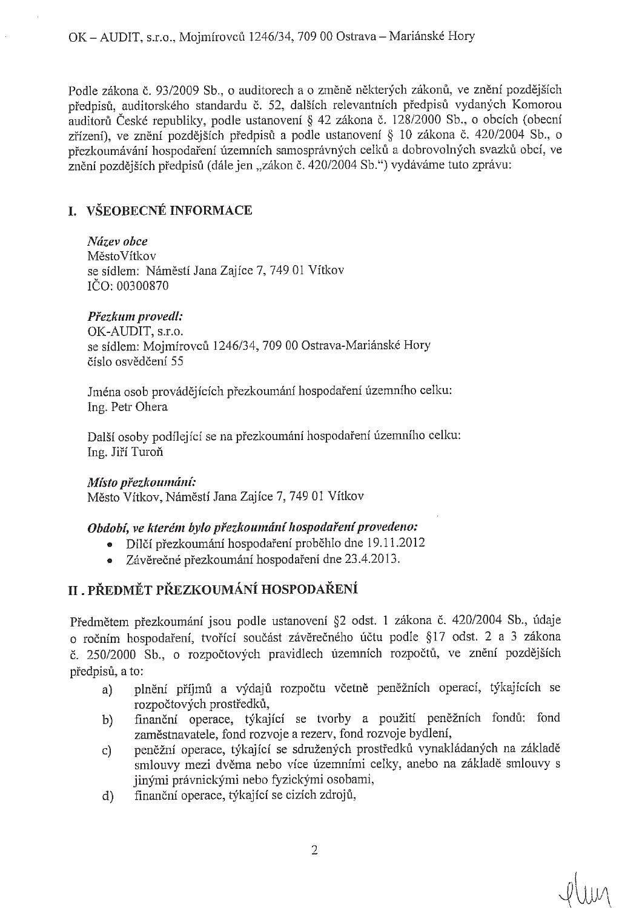Podle zákona č. 93/2009 Sb., o auditorech a o změně některých zákonů, ve znění pozdějších přednisů, auditorského standardu č. 52, dalších relevantních předpisů vydaných Komorou auditorů České republiky, podle ustanovení § 42 zákona č. 128/2000 Sb., o obcích (obecní zřízení), ve znění pozdějších předpisů a podle ustanovení § 10 zákona č. 420/2004 Sb., o přezkoumávání hospodaření územních samosprávných celků a dobrovolných svazků obcí, ve znění pozdějších předpisů (dále jen "zákon č. 420/2004 Sb.") vydáváme tuto zprávu:

### **I. VŠEOBECNÉ INFORMACE**

Název obce MěstoVítkov se sídlem: Náměstí Jana Zajíce 7, 749 01 Vítkov IČO: 00300870

### Přezkum provedl:

OK-AUDIT, s.r.o. se sídlem: Mojmírovců 1246/34, 709 00 Ostrava-Mariánské Hory číslo osvědčení 55

Jména osob provádějících přezkoumání hospodaření územního celku: Ing. Petr Ohera

Další osoby podílející se na přezkoumání hospodaření územního celku: Ing. Jiří Turoň

### Místo přezkoumání:

Město Vítkov, Náměstí Jana Zajíce 7, 749 01 Vítkov

### Období, ve kterém bylo přezkoumání hospodaření provedeno:

- · Dílčí přezkoumání hospodaření proběhlo dne 19.11.2012
- Závěrečné přezkoumání hospodaření dne 23.4.2013.  $\bullet$

### II. PŘEDMĚT PŘEZKOUMÁNÍ HOSPODAŘENÍ

Předmětem přezkoumání jsou podle ustanovení §2 odst. 1 zákona č. 420/2004 Sb., údaje o ročním hospodaření, tvořící součást závěrečného účtu podle §17 odst. 2 a 3 zákona č. 250/2000 Sb., o rozpočtových pravidlech územních rozpočtů, ve znění pozdějších předpisů, a to:

- plnění příjmů a výdajů rozpočtu včetně peněžních operací, týkajících se a) rozpočtových prostředků,
- finanční operace, týkající se tvorby a použití peněžních fondů: fond  $\vert b \rangle$ zaměstnavatele, fond rozvoje a rezerv, fond rozvoje bydlení,
- peněžní operace, týkající se sdružených prostředků vynakládaných na základě  $\mathbf{C}$ smlouvy mezi dvěma nebo více územními celky, anebo na základě smlouvy s jinými právnickými nebo fyzickými osobami,
- finanční operace, týkající se cizích zdrojů,  $\mathbf{d}$

 $y|_{\text{min}}$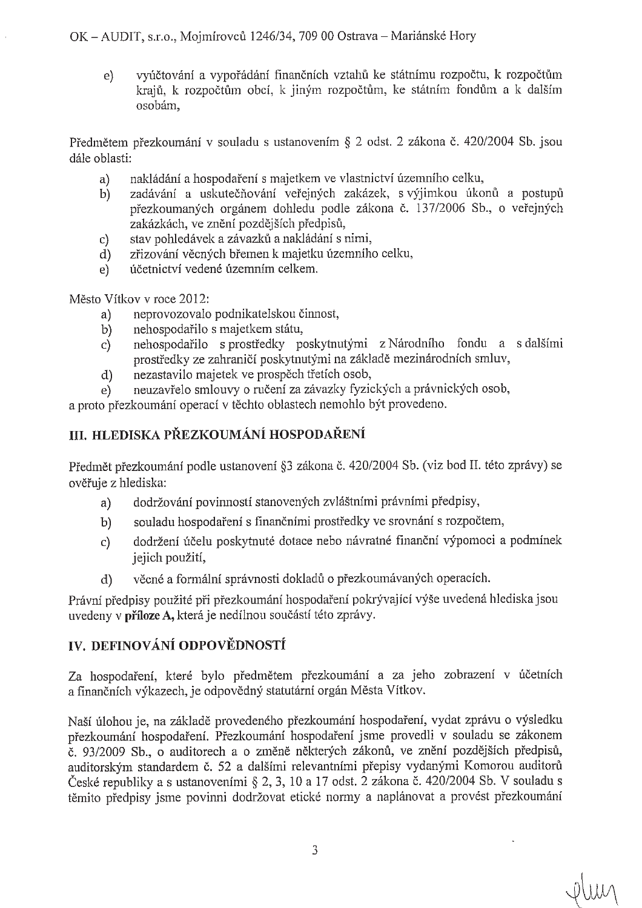OK – AUDIT, s.r.o., Moimírovců 1246/34, 709 00 Ostrava – Mariánské Hory

vyúčtování a vypořádání finančních vztahů ke státnímu rozpočtu, k rozpočtům  $e)$ krajů. k rozpočtům obcí, k jiným rozpočtům, ke státním fondům a k dalším osobám,

Předmětem přezkoumání v souladu s ustanovením § 2 odst. 2 zákona č. 420/2004 Sb. jsou dále oblasti:

- nakládání a hospodaření s majetkem ve vlastnictví územního celku,  $a)$
- zadávání a uskutečňování veřejných zakázek, s výjimkou úkonů a postupů  $b)$ přezkoumaných orgánem dohledu podle zákona č. 137/2006 Sb., o veřejných zakázkách, ve znění pozdějších předpisů,
- stav pohledávek a závazků a nakládání s nimi,  $\mathbf{C}$
- zřizování věcných břemen k majetku územního celku,  $d$
- účetnictví vedené územním celkem.  $e)$

Město Vítkov v roce 2012:

- neprovozovalo podnikatelskou činnost,  $a)$
- nehospodařilo s majetkem státu,  $b)$
- nehospodařilo s prostředky poskytnutými z Národního fondu a s dalšími  $\mathbf{c}$ prostředky ze zahraničí poskytnutými na základě mezinárodních smluv,
- nezastavilo majetek ve prospěch třetích osob,  $d)$
- neuzavřelo smlouvy o ručení za závazky fyzických a právnických osob,  $e)$

a proto přezkoumání operací v těchto oblastech nemohlo být provedeno.

### III. HLEDISKA PŘEZKOUMÁNÍ HOSPODAŘENÍ

Předmět přezkoumání podle ustanovení §3 zákona č. 420/2004 Sb. (viz bod II. této zprávy) se ověřuje z hlediska:

- dodržování povinností stanovených zvláštními právními předpisy,  $a)$
- souladu hospodaření s finančními prostředky ve srovnání s rozpočtem,  $b)$
- dodržení účelu poskytnuté dotace nebo návratné finanční výpomoci a podmínek  $\mathbf{c}$ jejich použití,
- věcné a formální správnosti dokladů o přezkoumávaných operacích.  $\mathbf{d}$

Právní předpisy použité při přezkoumání hospodaření pokrývající výše uvedená hlediska isou uvedeny v příloze A, která je nedílnou součástí této zprávy.

### IV. DEFINOVÁNÍ ODPOVĚDNOSTÍ

Za hospodaření, které bylo předmětem přezkoumání a za jeho zobrazení v účetních a finančních výkazech, je odpovědný statutární orgán Města Vítkov.

Naší úlohou je, na základě provedeného přezkoumání hospodaření, vydat zprávu o výsledku přezkoumání hospodaření. Přezkoumání hospodaření jsme provedli v souladu se zákonem č. 93/2009 Sb., o auditorech a o změně některých zákonů, ve znění pozdějších předpisů, auditorským standardem č. 52 a dalšími relevantními přepisy vydanými Komorou auditorů České republiky a s ustanoveními § 2, 3, 10 a 17 odst. 2 zákona č. 420/2004 Sb. V souladu s těmito předpisy jsme povinni dodržovat etické normy a naplánovat a provést přezkoumání

Plun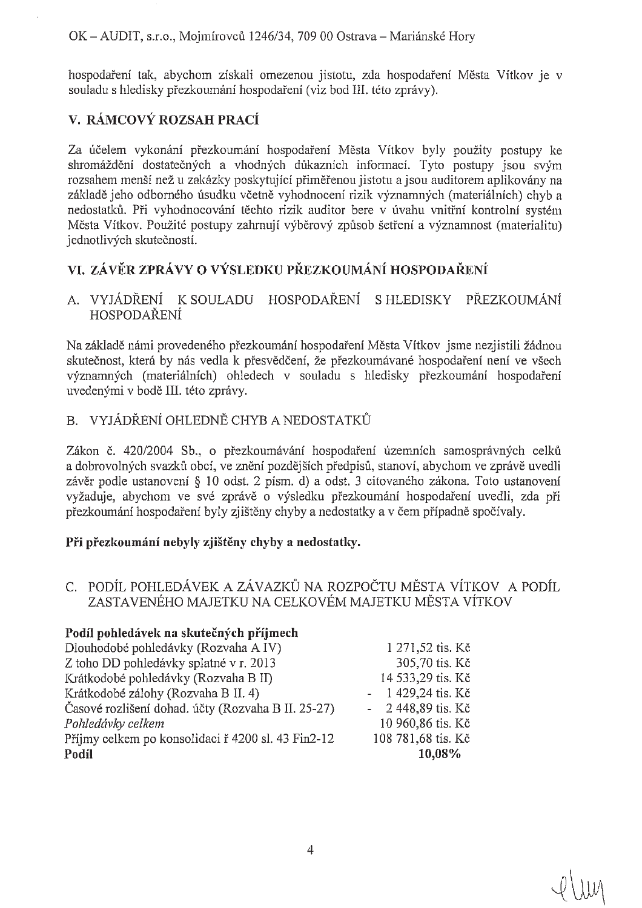hospodaření tak, abychom získali omezenou jistotu, zda hospodaření Města Vítkov je v souladu s hledisky přezkoumání hospodaření (viz bod III. této zprávy).

### V. RÁMCOVÝ ROZSAH PRACÍ

Za účelem vykonání přezkoumání hospodaření Města Vítkov byly použity postupy ke shromáždění dostatečných a vhodných důkazních informací. Tyto postupy jsou svým rozsahem menší než u zakázky poskytující přiměřenou jistotu a jsou auditorem aplikovány na základě jeho odborného úsudku včetně vyhodnocení rizik významných (materiálních) chyb a nedostatků. Při vyhodnocování těchto rizik auditor bere v úvahu vnitřní kontrolní systém Města Vítkov. Použité postupy zahrnují výběrový způsob šetření a významnost (materialitu) jednotlivých skutečností.

### VI. ZÁVĚR ZPRÁVY O VÝSLEDKU PŘEZKOUMÁNÍ HOSPODAŘENÍ

#### A. VYJÁDŘENÍ K SOULADU HOSPODAŘENÍ S HLEDISKY PŘEZKOUMÁNÍ HOSPODAŘENÍ

Na základě námi provedeného přezkoumání hospodaření Města Vítkov jsme nezjistili žádnou skutečnost, která by nás vedla k přesvědčení, že přezkoumávané hospodaření není ve všech významných (materiálních) ohledech v souladu s hledisky přezkoumání hospodaření uvedenými v bodě III. této zprávy.

### B. VYJÁDŘENÍ OHLEDNĚ CHYB A NEDOSTATKŮ

Zákon č. 420/2004 Sb., o přezkoumávání hospodaření územních samosprávných celků a dobrovolných svazků obcí, ve znění pozdějších předpisů, stanoví, abychom ve zprávě uvedli závěr podle ustanovení § 10 odst. 2 písm. d) a odst. 3 citovaného zákona. Toto ustanovení vyžaduje, abychom ve své zprávě o výsledku přezkoumání hospodaření uvedli, zda při přezkoumání hospodaření byly zjištěny chyby a nedostatky a v čem případně spočívaly.

#### Při přezkoumání nebyly zjištěny chyby a nedostatky.

#### C. PODÍL POHLEDÁVEK A ZÁVAZKŮ NA ROZPOČTU MĚSTA VÍTKOV A PODÍL ZASTAVENÉHO MAJETKU NA CELKOVÉM MAJETKU MĚSTA VÍTKOV

#### Podíl pohledávek na skutečných příjmech

| Podíl                                              | 10,08%             |
|----------------------------------------------------|--------------------|
| Příjmy celkem po konsolidaci ř 4200 sl. 43 Fin2-12 | 108 781,68 tis. Kč |
| Pohledávky celkem                                  | 10 960,86 tis. Kč  |
| Časové rozlišení dohad. účty (Rozvaha B II. 25-27) | $-2448,89$ tis. Kč |
| Krátkodobé zálohy (Rozvaha B II. 4)                | $-1429,24$ tis. Kč |
| Krátkodobé pohledávky (Rozvaha B II)               | 14 533,29 tis. Kč  |
| Z toho DD pohledávky splatné v r. 2013             | 305,70 tis. Kč     |
| Dlouhodobé pohledávky (Rozvaha A IV)               | 1 271,52 tis. Kč   |
|                                                    |                    |

 $TVV$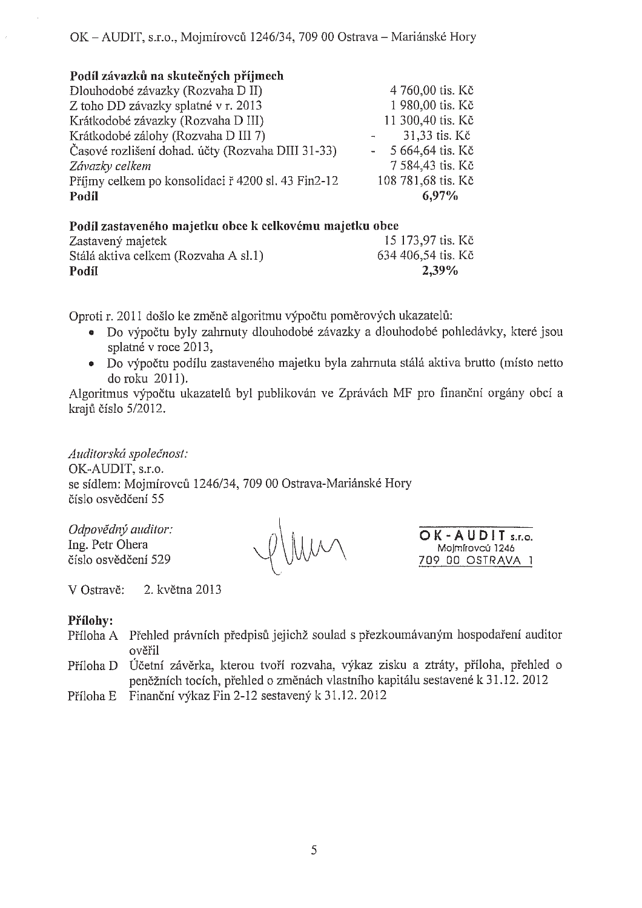### Podíl závazků na skutečných příjmech

| Dlouhodobé závazky (Rozvaha D II)                  | 4 760,00 tis. Kč   |
|----------------------------------------------------|--------------------|
| Z toho DD závazky splatné v r. 2013                | 1 980,00 tis. Kč   |
| Krátkodobé závazky (Rozvaha D III)                 | 11 300,40 tis. Kč  |
| Krátkodobé zálohy (Rozvaha D III 7)                | 31,33 tis. Kč      |
| Časové rozlišení dohad, účty (Rozvaha DIII 31-33)  | 5 664,64 tis. Kč   |
| Závazky celkem                                     | 7 584,43 tis. Kč   |
| Příjmy celkem po konsolidaci ř 4200 sl. 43 Fin2-12 | 108 781,68 tis. Kč |
| Podíl                                              | 6,97%              |
|                                                    |                    |

#### Podíl zastaveného majetku obce k celkovému majetku obce Zastavený majetek 15 173,97 tis. Kč 634 406,54 tis. Kč Stálá aktiva celkem (Rozvaha A sl.1) Podíl 2.39%

Oproti r. 2011 došlo ke změně algoritmu výpočtu poměrových ukazatelů:

- · Do výpočtu byly zahrnuty dlouhodobé závazky a dlouhodobé pohledávky, které jsou splatné v roce 2013,
- Do výpočtu podílu zastaveného majetku byla zahrnuta stálá aktiva brutto (místo netto do roku 2011).

Algoritmus výpočtu ukazatelů byl publikován ve Zprávách MF pro finanční orgány obcí a krajů číslo 5/2012.

Auditorská společnost: OK-AUDIT. s.r.o. se sídlem: Mojmírovců 1246/34, 709 00 Ostrava-Mariánské Hory číslo osvědčení 55

Odpovědný auditor: Ing. Petr Ohera číslo osvědčení 529

OK-AUDIT<sub>sr.o.</sub> Mojmírovců 1246 709 00 OSTRAVA 1

V Ostravě: 2. května 2013

### Přílohv:

- Příloha A Přehled právních předpisů jejichž soulad s přezkoumávaným hospodaření auditor ověřil
- Účetní závěrka, kterou tvoří rozvaha, výkaz zisku a ztráty, příloha, přehled o Příloha D peněžních tocích, přehled o změnách vlastního kapitálu sestavené k 31.12. 2012
- Finanční výkaz Fin 2-12 sestavený k 31.12. 2012 Příloha E